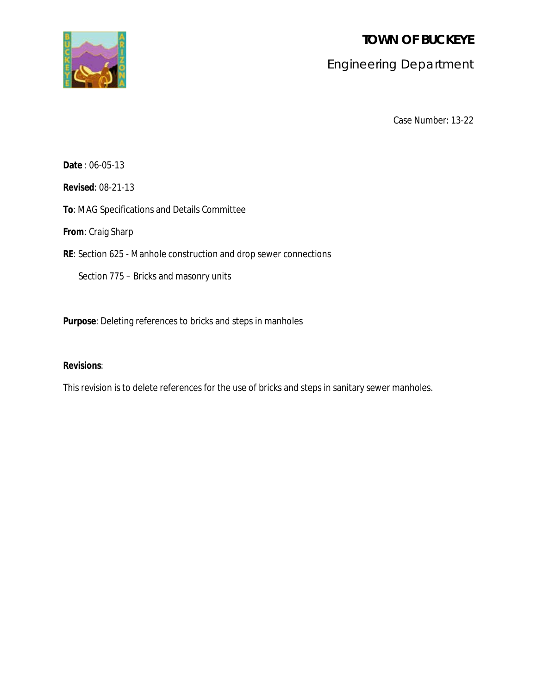**TOWN OF BUCKEYE**



# Engineering Department

Case Number: 13-22

**Date** : 06-05-13

**Revised**: 08-21-13

**To**: MAG Specifications and Details Committee

**From**: Craig Sharp

**RE**: Section 625 - Manhole construction and drop sewer connections

Section 775 – Bricks and masonry units

**Purpose**: Deleting references to bricks and steps in manholes

# **Revisions**:

This revision is to delete references for the use of bricks and steps in sanitary sewer manholes.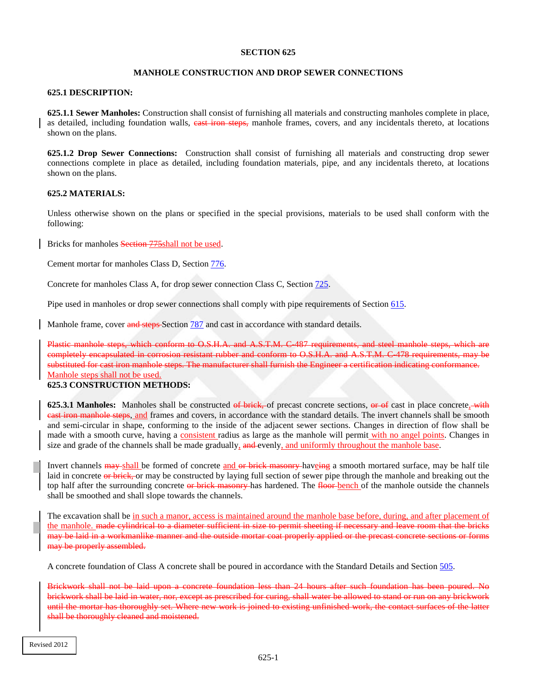## **MANHOLE CONSTRUCTION AND DROP SEWER CONNECTIONS**

#### **625.1 DESCRIPTION:**

**625.1.1 Sewer Manholes:** Construction shall consist of furnishing all materials and constructing manholes complete in place, as detailed, including foundation walls, east iron steps, manhole frames, covers, and any incidentals thereto, at locations shown on the plans.

**625.1.2 Drop Sewer Connections:** Construction shall consist of furnishing all materials and constructing drop sewer connections complete in place as detailed, including foundation materials, pipe, and any incidentals thereto, at locations shown on the plans.

## **625.2 MATERIALS:**

Unless otherwise shown on the plans or specified in the special provisions, materials to be used shall conform with the following:

Bricks for manholes Section 775shall not be used.

Cement mortar for manholes Class D, Section 776.

Concrete for manholes Class A, for drop sewer connection Class C, Section 725.

Pipe used in manholes or drop sewer connections shall comply with pipe requirements of Section 615.

Manhole frame, cover and steps Section 787 and cast in accordance with standard details.

Plastic manhole steps, which conform to O.S.H.A. and A.S.T.M. C-487 requirements, and steel manhole steps, which are completely encapsulated in corrosion resistant rubber and conform to O.S.H.A. and A.S.T.M. C-478 requirements, may be substituted for cast iron manhole steps. The manufacturer shall furnish the Engineer a certification indicating conformance. Manhole steps shall not be used.

#### **625.3 CONSTRUCTION METHODS:**

**625.3.1 Manholes:** Manholes shall be constructed of brick, of precast concrete sections, or of cast in place concrete, with cast iron manhole steps, and frames and covers, in accordance with the standard details. The invert channels shall be smooth and semi-circular in shape, conforming to the inside of the adjacent sewer sections. Changes in direction of flow shall be made with a smooth curve, having a consistent radius as large as the manhole will permit with no angel points. Changes in size and grade of the channels shall be made gradually, and evenly, and uniformly throughout the manhole base.

Invert channels may shall be formed of concrete and or brick masonry haveing a smooth mortared surface, may be half tile laid in concrete or brick, or may be constructed by laying full section of sewer pipe through the manhole and breaking out the top half after the surrounding concrete or brick masonry has hardened. The floor bench of the manhole outside the channels shall be smoothed and shall slope towards the channels.

The excavation shall be in such a manor, access is maintained around the manhole base before, during, and after placement of the manhole. made cylindrical to a diameter sufficient in size to permit sheeting if necessary and leave room that the bricks may be laid in a workmanlike manner and the outside mortar coat properly applied or the precast concrete sections or forms may be properly assembled.

A concrete foundation of Class A concrete shall be poured in accordance with the Standard Details and Section 505.

Brickwork shall not be laid upon a concrete foundation less than 24 hours after such foundation has been poured. No brickwork shall be laid in water, nor, except as prescribed for curing, shall water be allowed to stand or run on any brickwork until the mortar has thoroughly set. Where new work is joined to existing unfinished work, the contact surfaces of the latter shall be thoroughly cleaned and moistened.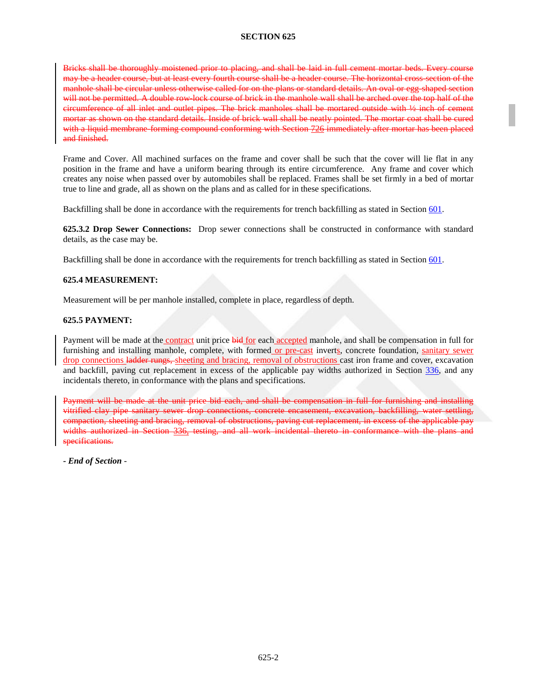Bricks shall be thoroughly moistened prior to placing, and shall be laid in full cement mortar beds. Every course may be a header course, but at least every fourth course shall be a header course. The horizontal cross-section of the manhole shall be circular unless otherwise called for on the plans or standard details. An oval or egg-shaped section will not be permitted. A double row-lock course of brick in the manhole wall shall be arched over the top half of the circumference of all inlet and outlet pipes. The brick manholes shall be mortared outside with ½ inch of cement mortar as shown on the standard details. Inside of brick wall shall be neatly pointed. The mortar coat shall be cured with a liquid membrane-forming compound conforming with Section 726 immediately after mortar has been placed and finished.

Frame and Cover. All machined surfaces on the frame and cover shall be such that the cover will lie flat in any position in the frame and have a uniform bearing through its entire circumference. Any frame and cover which creates any noise when passed over by automobiles shall be replaced. Frames shall be set firmly in a bed of mortar true to line and grade, all as shown on the plans and as called for in these specifications.

Backfilling shall be done in accordance with the requirements for trench backfilling as stated in Section 601.

**625.3.2 Drop Sewer Connections:** Drop sewer connections shall be constructed in conformance with standard details, as the case may be.

Backfilling shall be done in accordance with the requirements for trench backfilling as stated in Section 601.

## **625.4 MEASUREMENT:**

Measurement will be per manhole installed, complete in place, regardless of depth.

## **625.5 PAYMENT:**

Payment will be made at the contract unit price bid for each accepted manhole, and shall be compensation in full for furnishing and installing manhole, complete, with formed or pre-cast inverts, concrete foundation, sanitary sewer drop connections ladder rungs, sheeting and bracing, removal of obstructions cast iron frame and cover, excavation and backfill, paving cut replacement in excess of the applicable pay widths authorized in Section 336, and any incidentals thereto, in conformance with the plans and specifications.

Payment will be made at the unit price bid each, and shall be compensation in full for furnishing and installing vitrified clay pipe sanitary sewer drop connections, concrete encasement, excavation, backfilling, water settling, compaction, sheeting and bracing, removal of obstructions, paving cut replacement, in excess of the applicable pay widths authorized in Section 336, testing, and all work incidental thereto in conformance with the plans and specifications.

**-** *End of Section* -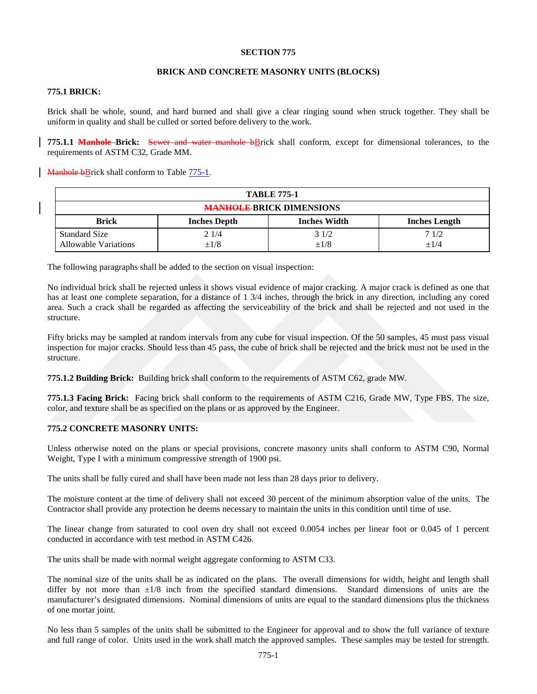#### **BRICK AND CONCRETE MASONRY UNITS (BLOCKS)**

# **775.1 BRICK:**

Brick shall be whole, sound, and hard burned and shall give a clear ringing sound when struck together. They shall be uniform in quality and shall be culled or sorted before delivery to the work.

**775.1.1 Manhole Brick:** Sewer and water manhole bBrick shall conform, except for dimensional tolerances, to the requirements of ASTM C32, Grade MM.

Manhole bBrick shall conform to Table 775-1.

| <b>TABLE 775-1</b>                                  |                     |                     |                      |
|-----------------------------------------------------|---------------------|---------------------|----------------------|
| <b>MANHOLE BRICK DIMENSIONS</b>                     |                     |                     |                      |
| <b>Brick</b>                                        | <b>Inches Depth</b> | <b>Inches Width</b> | <b>Inches Length</b> |
| <b>Standard Size</b><br><b>Allowable Variations</b> | 21/4<br>$\pm 1/8$   | 31/2<br>$\pm 1/8$   | 71/2<br>$+1/4$       |

The following paragraphs shall be added to the section on visual inspection:

No individual brick shall be rejected unless it shows visual evidence of major cracking. A major crack is defined as one that has at least one complete separation, for a distance of 1 3/4 inches, through the brick in any direction, including any cored area. Such a crack shall be regarded as affecting the serviceability of the brick and shall be rejected and not used in the structure.

Fifty bricks may be sampled at random intervals from any cube for visual inspection. Of the 50 samples, 45 must pass visual inspection for major cracks. Should less than 45 pass, the cube of brick shall be rejected and the brick must not be used in the structure.

**775.1.2 Building Brick:** Building brick shall conform to the requirements of ASTM C62, grade MW.

**775.1.3 Facing Brick:** Facing brick shall conform to the requirements of ASTM C216, Grade MW, Type FBS. The size, color, and texture shall be as specified on the plans or as approved by the Engineer.

### **775.2 CONCRETE MASONRY UNITS:**

Unless otherwise noted on the plans or special provisions, concrete masonry units shall conform to ASTM C90, Normal Weight, Type I with a minimum compressive strength of 1900 psi.

The units shall be fully cured and shall have been made not less than 28 days prior to delivery.

The moisture content at the time of delivery shall not exceed 30 percent of the minimum absorption value of the units. The Contractor shall provide any protection he deems necessary to maintain the units in this condition until time of use.

The linear change from saturated to cool oven dry shall not exceed 0.0054 inches per linear foot or 0.045 of 1 percent conducted in accordance with test method in ASTM C426.

The units shall be made with normal weight aggregate conforming to ASTM C33.

The nominal size of the units shall be as indicated on the plans. The overall dimensions for width, height and length shall differ by not more than  $\pm 1/8$  inch from the specified standard dimensions. Standard dimensions of units are the manufacturer's designated dimensions. Nominal dimensions of units are equal to the standard dimensions plus the thickness of one mortar joint.

No less than 5 samples of the units shall be submitted to the Engineer for approval and to show the full variance of texture and full range of color. Units used in the work shall match the approved samples. These samples may be tested for strength.